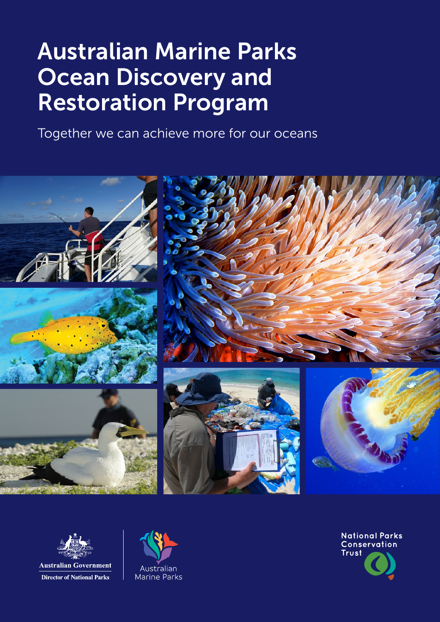## Australian Marine Parks Ocean Discovery and Restoration Program

Together we can achieve more for our oceans





**Australian Government Director of National Parks** 



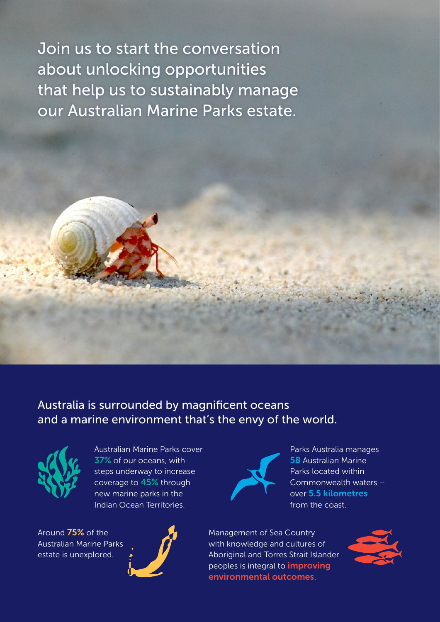Join us to start the conversation about unlocking opportunities that help us to sustainably manage our Australian Marine Parks estate.

Australia is surrounded by magnificent oceans and a marine environment that's the envy of the world.



Australian Marine Parks cover 37% of our oceans, with steps underway to increase coverage to 45% through new marine parks in the Indian Ocean Territories.

Around 75% of the Australian Marine Parks estate is unexplored.





Parks Australia manages **58 Australian Marine** Parks located within Commonwealth waters – over 5.5 kilometres from the coast.

Management of Sea Country with knowledge and cultures of Aboriginal and Torres Strait Islander peoples is integral to **improving** environmental outcomes.

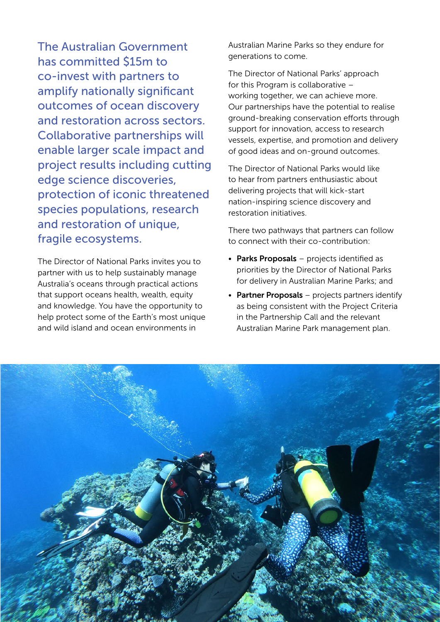The Australian Government has committed \$15m to co‑invest with partners to amplify nationally significant outcomes of ocean discovery and restoration across sectors. Collaborative partnerships will enable larger scale impact and project results including cutting edge science discoveries, protection of iconic threatened species populations, research and restoration of unique, fragile ecosystems.

The Director of National Parks invites you to partner with us to help sustainably manage Australia's oceans through practical actions that support oceans health, wealth, equity and knowledge. You have the opportunity to help protect some of the Earth's most unique and wild island and ocean environments in

Australian Marine Parks so they endure for generations to come.

The Director of National Parks' approach for this Program is collaborative – working together, we can achieve more. Our partnerships have the potential to realise ground-breaking conservation efforts through support for innovation, access to research vessels, expertise, and promotion and delivery of good ideas and on-ground outcomes.

The Director of National Parks would like to hear from partners enthusiastic about delivering projects that will kick-start nation-inspiring science discovery and restoration initiatives.

There two pathways that partners can follow to connect with their co-contribution:

- Parks Proposals projects identified as priorities by the Director of National Parks for delivery in Australian Marine Parks; and
- Partner Proposals projects partners identify as being consistent with the Project Criteria in the Partnership Call and the relevant Australian Marine Park management plan.